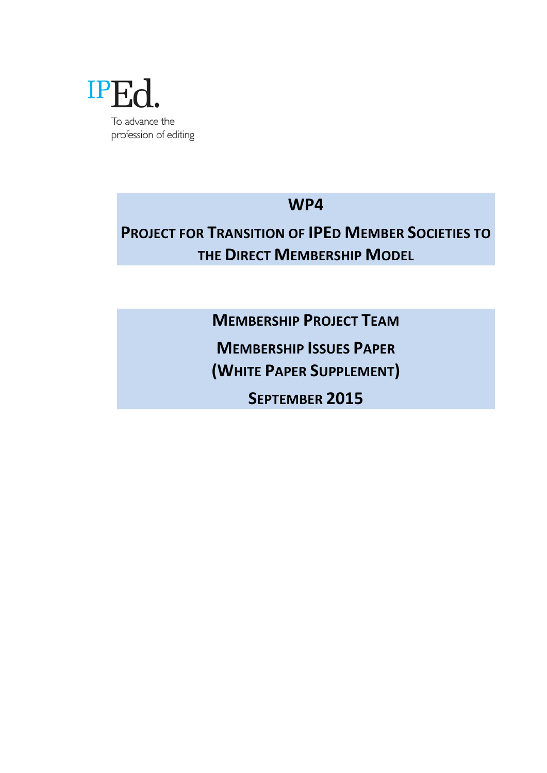

**WP4**

## **PROJECT FOR TRANSITION OF IPED MEMBER SOCIETIES TO THE DIRECT MEMBERSHIP MODEL**

**MEMBERSHIP PROJECT TEAM** 

**MEMBERSHIP ISSUES PAPER** 

**(WHITE PAPER SUPPLEMENT)**

SEPTEMBER 2015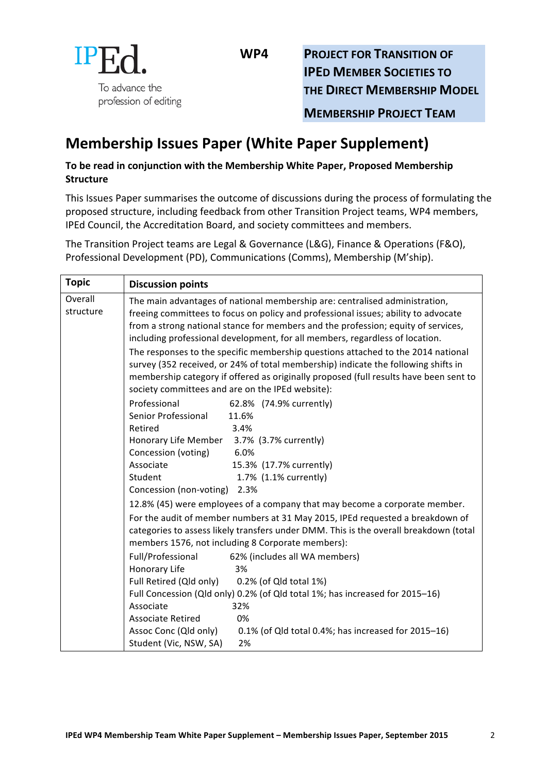

**WP4 PROJECT FOR TRANSITION OF IPED MEMBER SOCIETIES TO THE DIRECT MEMBERSHIP MODEL** 

**MEMBERSHIP PROJECT TEAM** 

## **Membership Issues Paper (White Paper Supplement)**

## To be read in conjunction with the Membership White Paper, Proposed Membership **Structure**

This Issues Paper summarises the outcome of discussions during the process of formulating the proposed structure, including feedback from other Transition Project teams, WP4 members, IPEd Council, the Accreditation Board, and society committees and members.

The Transition Project teams are Legal & Governance (L&G), Finance & Operations (F&O), Professional Development (PD), Communications (Comms), Membership (M'ship).

| <b>Topic</b>         | <b>Discussion points</b>                                                                                                                                                                                                                                                                                                                                                                                                                                                                                                                                                                                                                                                                                   |
|----------------------|------------------------------------------------------------------------------------------------------------------------------------------------------------------------------------------------------------------------------------------------------------------------------------------------------------------------------------------------------------------------------------------------------------------------------------------------------------------------------------------------------------------------------------------------------------------------------------------------------------------------------------------------------------------------------------------------------------|
| Overall<br>structure | The main advantages of national membership are: centralised administration,<br>freeing committees to focus on policy and professional issues; ability to advocate<br>from a strong national stance for members and the profession; equity of services,<br>including professional development, for all members, regardless of location.<br>The responses to the specific membership questions attached to the 2014 national<br>survey (352 received, or 24% of total membership) indicate the following shifts in<br>membership category if offered as originally proposed (full results have been sent to                                                                                                  |
|                      | society committees and are on the IPEd website):<br>Professional<br>62.8% (74.9% currently)<br>Senior Professional<br>11.6%<br>3.4%<br>Retired<br>Honorary Life Member 3.7% (3.7% currently)<br>6.0%<br>Concession (voting)<br>Associate<br>15.3% (17.7% currently)<br>Student<br>1.7% (1.1% currently)<br>Concession (non-voting) 2.3%<br>12.8% (45) were employees of a company that may become a corporate member.<br>For the audit of member numbers at 31 May 2015, IPEd requested a breakdown of<br>categories to assess likely transfers under DMM. This is the overall breakdown (total<br>members 1576, not including 8 Corporate members):<br>Full/Professional<br>62% (includes all WA members) |
|                      | Honorary Life<br>3%<br>Full Retired (Qld only) 0.2% (of Qld total 1%)<br>Full Concession (Qld only) 0.2% (of Qld total 1%; has increased for 2015-16)<br>32%<br>Associate<br><b>Associate Retired</b><br>0%<br>Assoc Conc (Qld only)<br>0.1% (of Qld total 0.4%; has increased for 2015-16)<br>Student (Vic, NSW, SA)<br>2%                                                                                                                                                                                                                                                                                                                                                                                |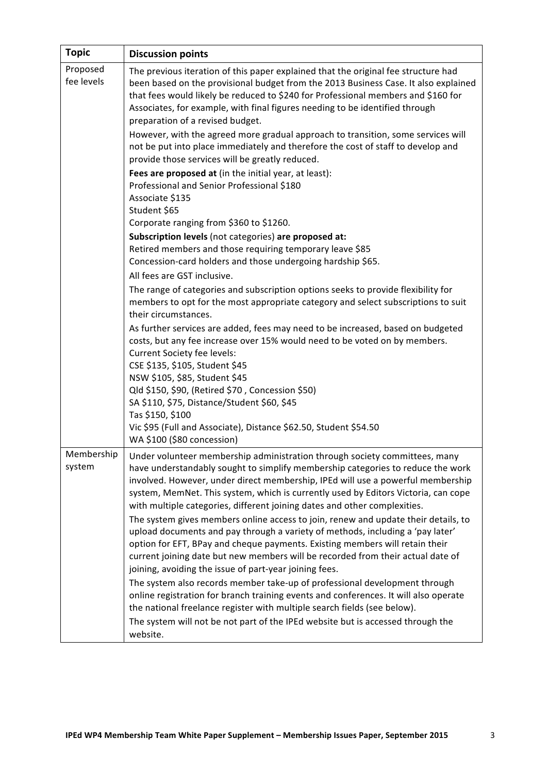| <b>Topic</b>           | <b>Discussion points</b>                                                                                                                                                                                                                                                                                                                                                                                                                                                                                                                                                                                                                                                                                                                                       |
|------------------------|----------------------------------------------------------------------------------------------------------------------------------------------------------------------------------------------------------------------------------------------------------------------------------------------------------------------------------------------------------------------------------------------------------------------------------------------------------------------------------------------------------------------------------------------------------------------------------------------------------------------------------------------------------------------------------------------------------------------------------------------------------------|
| Proposed<br>fee levels | The previous iteration of this paper explained that the original fee structure had<br>been based on the provisional budget from the 2013 Business Case. It also explained<br>that fees would likely be reduced to \$240 for Professional members and \$160 for<br>Associates, for example, with final figures needing to be identified through<br>preparation of a revised budget.                                                                                                                                                                                                                                                                                                                                                                             |
|                        | However, with the agreed more gradual approach to transition, some services will<br>not be put into place immediately and therefore the cost of staff to develop and<br>provide those services will be greatly reduced.                                                                                                                                                                                                                                                                                                                                                                                                                                                                                                                                        |
|                        | Fees are proposed at (in the initial year, at least):<br>Professional and Senior Professional \$180<br>Associate \$135<br>Student \$65                                                                                                                                                                                                                                                                                                                                                                                                                                                                                                                                                                                                                         |
|                        | Corporate ranging from \$360 to \$1260.<br>Subscription levels (not categories) are proposed at:<br>Retired members and those requiring temporary leave \$85<br>Concession-card holders and those undergoing hardship \$65.                                                                                                                                                                                                                                                                                                                                                                                                                                                                                                                                    |
|                        | All fees are GST inclusive.<br>The range of categories and subscription options seeks to provide flexibility for<br>members to opt for the most appropriate category and select subscriptions to suit<br>their circumstances.                                                                                                                                                                                                                                                                                                                                                                                                                                                                                                                                  |
|                        | As further services are added, fees may need to be increased, based on budgeted<br>costs, but any fee increase over 15% would need to be voted on by members.<br>Current Society fee levels:<br>CSE \$135, \$105, Student \$45<br>NSW \$105, \$85, Student \$45<br>Qld \$150, \$90, (Retired \$70, Concession \$50)<br>SA \$110, \$75, Distance/Student \$60, \$45<br>Tas \$150, \$100                                                                                                                                                                                                                                                                                                                                                                         |
|                        | Vic \$95 (Full and Associate), Distance \$62.50, Student \$54.50<br>WA \$100 (\$80 concession)                                                                                                                                                                                                                                                                                                                                                                                                                                                                                                                                                                                                                                                                 |
| Membership<br>system   | Under volunteer membership administration through society committees, many<br>have understandably sought to simplify membership categories to reduce the work<br>involved. However, under direct membership, IPEd will use a powerful membership<br>system, MemNet. This system, which is currently used by Editors Victoria, can cope<br>with multiple categories, different joining dates and other complexities.<br>The system gives members online access to join, renew and update their details, to<br>upload documents and pay through a variety of methods, including a 'pay later'<br>option for EFT, BPay and cheque payments. Existing members will retain their<br>current joining date but new members will be recorded from their actual date of |
|                        | joining, avoiding the issue of part-year joining fees.<br>The system also records member take-up of professional development through<br>online registration for branch training events and conferences. It will also operate<br>the national freelance register with multiple search fields (see below).<br>The system will not be not part of the IPEd website but is accessed through the<br>website.                                                                                                                                                                                                                                                                                                                                                        |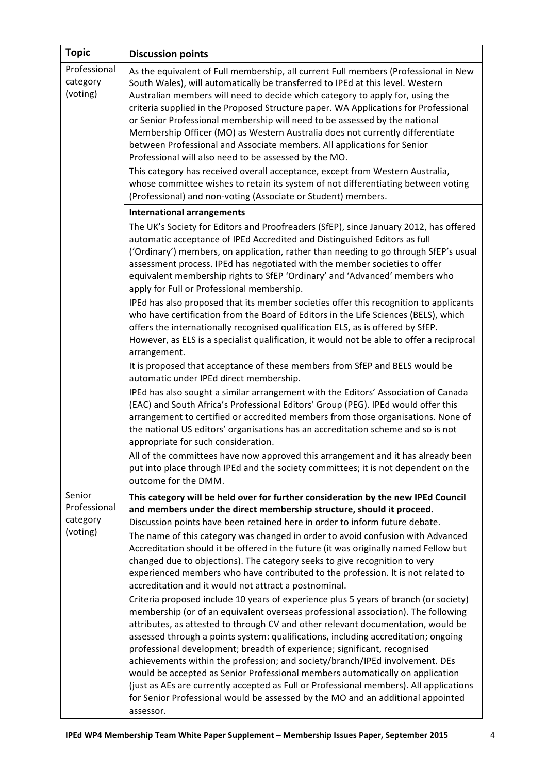| <b>Topic</b>                                   | <b>Discussion points</b>                                                                                                                                                                                                                                                                                                                                                                                                                                                                                                                                                                                                                                                                                                                                                                                                                                                                                                                                                                                                                                                                                                                                                                                                                                                                                                                                                                                                                                                                                                                           |
|------------------------------------------------|----------------------------------------------------------------------------------------------------------------------------------------------------------------------------------------------------------------------------------------------------------------------------------------------------------------------------------------------------------------------------------------------------------------------------------------------------------------------------------------------------------------------------------------------------------------------------------------------------------------------------------------------------------------------------------------------------------------------------------------------------------------------------------------------------------------------------------------------------------------------------------------------------------------------------------------------------------------------------------------------------------------------------------------------------------------------------------------------------------------------------------------------------------------------------------------------------------------------------------------------------------------------------------------------------------------------------------------------------------------------------------------------------------------------------------------------------------------------------------------------------------------------------------------------------|
| Professional<br>category<br>(voting)           | As the equivalent of Full membership, all current Full members (Professional in New<br>South Wales), will automatically be transferred to IPEd at this level. Western<br>Australian members will need to decide which category to apply for, using the<br>criteria supplied in the Proposed Structure paper. WA Applications for Professional<br>or Senior Professional membership will need to be assessed by the national<br>Membership Officer (MO) as Western Australia does not currently differentiate<br>between Professional and Associate members. All applications for Senior<br>Professional will also need to be assessed by the MO.<br>This category has received overall acceptance, except from Western Australia,<br>whose committee wishes to retain its system of not differentiating between voting<br>(Professional) and non-voting (Associate or Student) members.                                                                                                                                                                                                                                                                                                                                                                                                                                                                                                                                                                                                                                                            |
|                                                | <b>International arrangements</b>                                                                                                                                                                                                                                                                                                                                                                                                                                                                                                                                                                                                                                                                                                                                                                                                                                                                                                                                                                                                                                                                                                                                                                                                                                                                                                                                                                                                                                                                                                                  |
|                                                | The UK's Society for Editors and Proofreaders (SfEP), since January 2012, has offered<br>automatic acceptance of IPEd Accredited and Distinguished Editors as full<br>('Ordinary') members, on application, rather than needing to go through SfEP's usual<br>assessment process. IPEd has negotiated with the member societies to offer<br>equivalent membership rights to SfEP 'Ordinary' and 'Advanced' members who<br>apply for Full or Professional membership.<br>IPEd has also proposed that its member societies offer this recognition to applicants<br>who have certification from the Board of Editors in the Life Sciences (BELS), which<br>offers the internationally recognised qualification ELS, as is offered by SfEP.<br>However, as ELS is a specialist qualification, it would not be able to offer a reciprocal<br>arrangement.<br>It is proposed that acceptance of these members from SfEP and BELS would be<br>automatic under IPEd direct membership.<br>IPEd has also sought a similar arrangement with the Editors' Association of Canada<br>(EAC) and South Africa's Professional Editors' Group (PEG). IPEd would offer this<br>arrangement to certified or accredited members from those organisations. None of<br>the national US editors' organisations has an accreditation scheme and so is not<br>appropriate for such consideration.<br>All of the committees have now approved this arrangement and it has already been<br>put into place through IPEd and the society committees; it is not dependent on the |
|                                                | outcome for the DMM.                                                                                                                                                                                                                                                                                                                                                                                                                                                                                                                                                                                                                                                                                                                                                                                                                                                                                                                                                                                                                                                                                                                                                                                                                                                                                                                                                                                                                                                                                                                               |
| Senior<br>Professional<br>category<br>(voting) | This category will be held over for further consideration by the new IPEd Council<br>and members under the direct membership structure, should it proceed.<br>Discussion points have been retained here in order to inform future debate.<br>The name of this category was changed in order to avoid confusion with Advanced<br>Accreditation should it be offered in the future (it was originally named Fellow but<br>changed due to objections). The category seeks to give recognition to very<br>experienced members who have contributed to the profession. It is not related to<br>accreditation and it would not attract a postnominal.<br>Criteria proposed include 10 years of experience plus 5 years of branch (or society)<br>membership (or of an equivalent overseas professional association). The following<br>attributes, as attested to through CV and other relevant documentation, would be<br>assessed through a points system: qualifications, including accreditation; ongoing<br>professional development; breadth of experience; significant, recognised<br>achievements within the profession; and society/branch/IPEd involvement. DEs<br>would be accepted as Senior Professional members automatically on application<br>(just as AEs are currently accepted as Full or Professional members). All applications<br>for Senior Professional would be assessed by the MO and an additional appointed<br>assessor.                                                                                                      |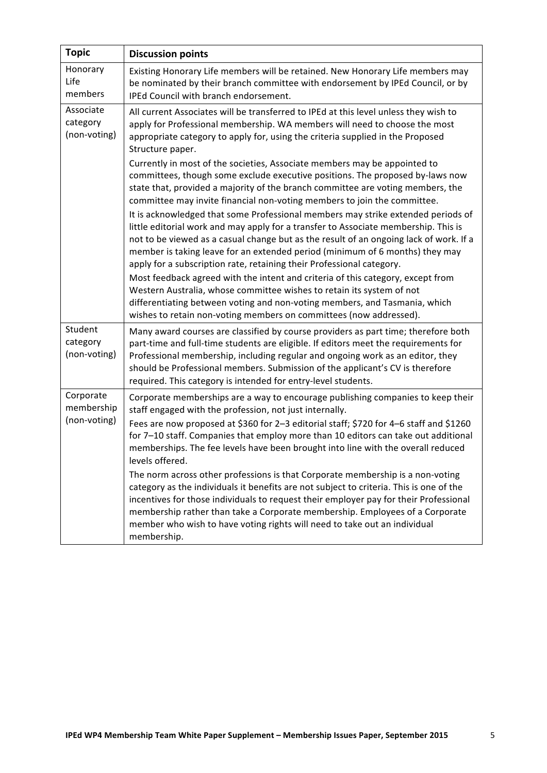| <b>Topic</b>                            | <b>Discussion points</b>                                                                                                                                                                                                                                                                                                                                                                                                                                                                                                                                                                                                                                                                                                                                                                                                                                                                                                                                                                                                                                                                                                                                                                                                                                                                                                                            |
|-----------------------------------------|-----------------------------------------------------------------------------------------------------------------------------------------------------------------------------------------------------------------------------------------------------------------------------------------------------------------------------------------------------------------------------------------------------------------------------------------------------------------------------------------------------------------------------------------------------------------------------------------------------------------------------------------------------------------------------------------------------------------------------------------------------------------------------------------------------------------------------------------------------------------------------------------------------------------------------------------------------------------------------------------------------------------------------------------------------------------------------------------------------------------------------------------------------------------------------------------------------------------------------------------------------------------------------------------------------------------------------------------------------|
| Honorary<br>Life<br>members             | Existing Honorary Life members will be retained. New Honorary Life members may<br>be nominated by their branch committee with endorsement by IPEd Council, or by<br>IPEd Council with branch endorsement.                                                                                                                                                                                                                                                                                                                                                                                                                                                                                                                                                                                                                                                                                                                                                                                                                                                                                                                                                                                                                                                                                                                                           |
| Associate<br>category<br>(non-voting)   | All current Associates will be transferred to IPEd at this level unless they wish to<br>apply for Professional membership. WA members will need to choose the most<br>appropriate category to apply for, using the criteria supplied in the Proposed<br>Structure paper.<br>Currently in most of the societies, Associate members may be appointed to<br>committees, though some exclude executive positions. The proposed by-laws now<br>state that, provided a majority of the branch committee are voting members, the<br>committee may invite financial non-voting members to join the committee.<br>It is acknowledged that some Professional members may strike extended periods of<br>little editorial work and may apply for a transfer to Associate membership. This is<br>not to be viewed as a casual change but as the result of an ongoing lack of work. If a<br>member is taking leave for an extended period (minimum of 6 months) they may<br>apply for a subscription rate, retaining their Professional category.<br>Most feedback agreed with the intent and criteria of this category, except from<br>Western Australia, whose committee wishes to retain its system of not<br>differentiating between voting and non-voting members, and Tasmania, which<br>wishes to retain non-voting members on committees (now addressed). |
| Student<br>category<br>(non-voting)     | Many award courses are classified by course providers as part time; therefore both<br>part-time and full-time students are eligible. If editors meet the requirements for<br>Professional membership, including regular and ongoing work as an editor, they<br>should be Professional members. Submission of the applicant's CV is therefore<br>required. This category is intended for entry-level students.                                                                                                                                                                                                                                                                                                                                                                                                                                                                                                                                                                                                                                                                                                                                                                                                                                                                                                                                       |
| Corporate<br>membership<br>(non-voting) | Corporate memberships are a way to encourage publishing companies to keep their<br>staff engaged with the profession, not just internally.<br>Fees are now proposed at \$360 for 2-3 editorial staff; \$720 for 4-6 staff and \$1260<br>for 7-10 staff. Companies that employ more than 10 editors can take out additional<br>memberships. The fee levels have been brought into line with the overall reduced<br>levels offered.<br>The norm across other professions is that Corporate membership is a non-voting<br>category as the individuals it benefits are not subject to criteria. This is one of the<br>incentives for those individuals to request their employer pay for their Professional<br>membership rather than take a Corporate membership. Employees of a Corporate<br>member who wish to have voting rights will need to take out an individual<br>membership.                                                                                                                                                                                                                                                                                                                                                                                                                                                                 |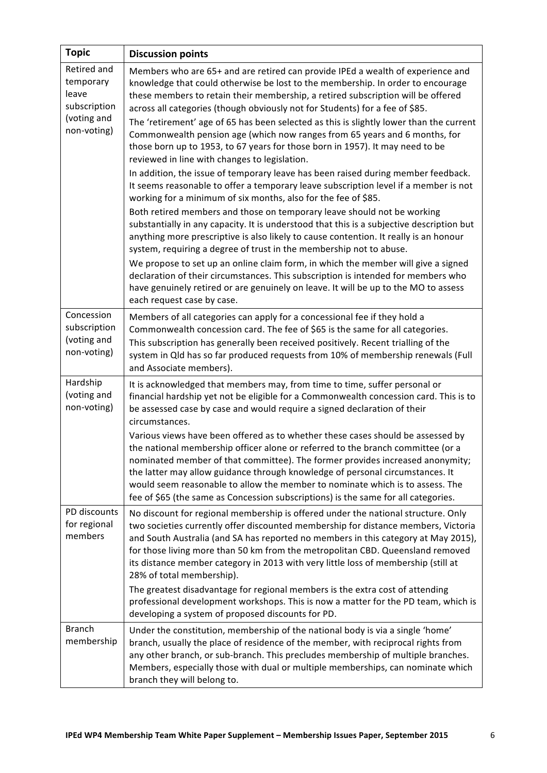| <b>Topic</b>                                                                    | <b>Discussion points</b>                                                                                                                                                                                                                                                                                                                                                                                                                                                                                                                                                                                                                                                                                                                                                                                                                                                                                                                                                                                                                                                                                                                                                                                                                                                                                                                                                                                                                                                                                                                |
|---------------------------------------------------------------------------------|-----------------------------------------------------------------------------------------------------------------------------------------------------------------------------------------------------------------------------------------------------------------------------------------------------------------------------------------------------------------------------------------------------------------------------------------------------------------------------------------------------------------------------------------------------------------------------------------------------------------------------------------------------------------------------------------------------------------------------------------------------------------------------------------------------------------------------------------------------------------------------------------------------------------------------------------------------------------------------------------------------------------------------------------------------------------------------------------------------------------------------------------------------------------------------------------------------------------------------------------------------------------------------------------------------------------------------------------------------------------------------------------------------------------------------------------------------------------------------------------------------------------------------------------|
| Retired and<br>temporary<br>leave<br>subscription<br>(voting and<br>non-voting) | Members who are 65+ and are retired can provide IPEd a wealth of experience and<br>knowledge that could otherwise be lost to the membership. In order to encourage<br>these members to retain their membership, a retired subscription will be offered<br>across all categories (though obviously not for Students) for a fee of \$85.<br>The 'retirement' age of 65 has been selected as this is slightly lower than the current<br>Commonwealth pension age (which now ranges from 65 years and 6 months, for<br>those born up to 1953, to 67 years for those born in 1957). It may need to be<br>reviewed in line with changes to legislation.<br>In addition, the issue of temporary leave has been raised during member feedback.<br>It seems reasonable to offer a temporary leave subscription level if a member is not<br>working for a minimum of six months, also for the fee of \$85.<br>Both retired members and those on temporary leave should not be working<br>substantially in any capacity. It is understood that this is a subjective description but<br>anything more prescriptive is also likely to cause contention. It really is an honour<br>system, requiring a degree of trust in the membership not to abuse.<br>We propose to set up an online claim form, in which the member will give a signed<br>declaration of their circumstances. This subscription is intended for members who<br>have genuinely retired or are genuinely on leave. It will be up to the MO to assess<br>each request case by case. |
| Concession<br>subscription<br>(voting and<br>non-voting)                        | Members of all categories can apply for a concessional fee if they hold a<br>Commonwealth concession card. The fee of \$65 is the same for all categories.<br>This subscription has generally been received positively. Recent trialling of the<br>system in Qld has so far produced requests from 10% of membership renewals (Full<br>and Associate members).                                                                                                                                                                                                                                                                                                                                                                                                                                                                                                                                                                                                                                                                                                                                                                                                                                                                                                                                                                                                                                                                                                                                                                          |
| Hardship<br>(voting and<br>non-voting)                                          | It is acknowledged that members may, from time to time, suffer personal or<br>financial hardship yet not be eligible for a Commonwealth concession card. This is to<br>be assessed case by case and would require a signed declaration of their<br>circumstances.<br>Various views have been offered as to whether these cases should be assessed by<br>the national membership officer alone or referred to the branch committee (or a<br>nominated member of that committee). The former provides increased anonymity;<br>the latter may allow guidance through knowledge of personal circumstances. It<br>would seem reasonable to allow the member to nominate which is to assess. The<br>fee of \$65 (the same as Concession subscriptions) is the same for all categories.                                                                                                                                                                                                                                                                                                                                                                                                                                                                                                                                                                                                                                                                                                                                                        |
| PD discounts<br>for regional<br>members                                         | No discount for regional membership is offered under the national structure. Only<br>two societies currently offer discounted membership for distance members, Victoria<br>and South Australia (and SA has reported no members in this category at May 2015),<br>for those living more than 50 km from the metropolitan CBD. Queensland removed<br>its distance member category in 2013 with very little loss of membership (still at<br>28% of total membership).<br>The greatest disadvantage for regional members is the extra cost of attending<br>professional development workshops. This is now a matter for the PD team, which is<br>developing a system of proposed discounts for PD.                                                                                                                                                                                                                                                                                                                                                                                                                                                                                                                                                                                                                                                                                                                                                                                                                                          |
| <b>Branch</b><br>membership                                                     | Under the constitution, membership of the national body is via a single 'home'<br>branch, usually the place of residence of the member, with reciprocal rights from<br>any other branch, or sub-branch. This precludes membership of multiple branches.<br>Members, especially those with dual or multiple memberships, can nominate which<br>branch they will belong to.                                                                                                                                                                                                                                                                                                                                                                                                                                                                                                                                                                                                                                                                                                                                                                                                                                                                                                                                                                                                                                                                                                                                                               |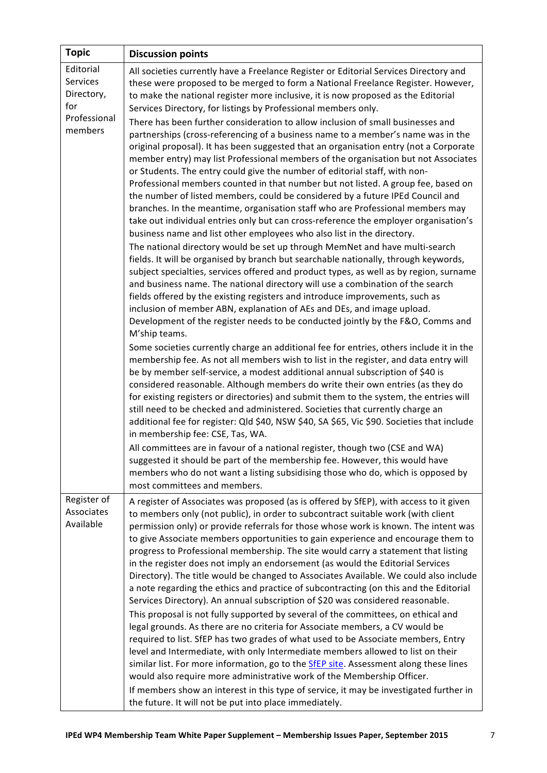| <b>Topic</b>                                                          | <b>Discussion points</b>                                                                                                                                                                                                                                                                                                                                                                                                                                                                                                                                                                                                                                                                                                                                                                                                                                                                                                                                                                                                                                                                                                                                                                                                                                                                                                                                                                                                                                                                                                                                                                                                                                                                                                                                                                                                                                                                                                                                                                                                                                                                                                                                                                                                                                                                                                                                                                                                                                                                                                                                                                                                                                                                                                                                             |
|-----------------------------------------------------------------------|----------------------------------------------------------------------------------------------------------------------------------------------------------------------------------------------------------------------------------------------------------------------------------------------------------------------------------------------------------------------------------------------------------------------------------------------------------------------------------------------------------------------------------------------------------------------------------------------------------------------------------------------------------------------------------------------------------------------------------------------------------------------------------------------------------------------------------------------------------------------------------------------------------------------------------------------------------------------------------------------------------------------------------------------------------------------------------------------------------------------------------------------------------------------------------------------------------------------------------------------------------------------------------------------------------------------------------------------------------------------------------------------------------------------------------------------------------------------------------------------------------------------------------------------------------------------------------------------------------------------------------------------------------------------------------------------------------------------------------------------------------------------------------------------------------------------------------------------------------------------------------------------------------------------------------------------------------------------------------------------------------------------------------------------------------------------------------------------------------------------------------------------------------------------------------------------------------------------------------------------------------------------------------------------------------------------------------------------------------------------------------------------------------------------------------------------------------------------------------------------------------------------------------------------------------------------------------------------------------------------------------------------------------------------------------------------------------------------------------------------------------------------|
| Editorial<br>Services<br>Directory,<br>for<br>Professional<br>members | All societies currently have a Freelance Register or Editorial Services Directory and<br>these were proposed to be merged to form a National Freelance Register. However,<br>to make the national register more inclusive, it is now proposed as the Editorial<br>Services Directory, for listings by Professional members only.<br>There has been further consideration to allow inclusion of small businesses and<br>partnerships (cross-referencing of a business name to a member's name was in the<br>original proposal). It has been suggested that an organisation entry (not a Corporate<br>member entry) may list Professional members of the organisation but not Associates<br>or Students. The entry could give the number of editorial staff, with non-<br>Professional members counted in that number but not listed. A group fee, based on<br>the number of listed members, could be considered by a future IPEd Council and<br>branches. In the meantime, organisation staff who are Professional members may<br>take out individual entries only but can cross-reference the employer organisation's<br>business name and list other employees who also list in the directory.<br>The national directory would be set up through MemNet and have multi-search<br>fields. It will be organised by branch but searchable nationally, through keywords,<br>subject specialties, services offered and product types, as well as by region, surname<br>and business name. The national directory will use a combination of the search<br>fields offered by the existing registers and introduce improvements, such as<br>inclusion of member ABN, explanation of AEs and DEs, and image upload.<br>Development of the register needs to be conducted jointly by the F&O, Comms and<br>M'ship teams.<br>Some societies currently charge an additional fee for entries, others include it in the<br>membership fee. As not all members wish to list in the register, and data entry will<br>be by member self-service, a modest additional annual subscription of \$40 is<br>considered reasonable. Although members do write their own entries (as they do<br>for existing registers or directories) and submit them to the system, the entries will<br>still need to be checked and administered. Societies that currently charge an<br>additional fee for register: Qld \$40, NSW \$40, SA \$65, Vic \$90. Societies that include<br>in membership fee: CSE, Tas, WA.<br>All committees are in favour of a national register, though two (CSE and WA)<br>suggested it should be part of the membership fee. However, this would have<br>members who do not want a listing subsidising those who do, which is opposed by<br>most committees and members. |
| Register of<br>Associates<br>Available                                | A register of Associates was proposed (as is offered by SfEP), with access to it given<br>to members only (not public), in order to subcontract suitable work (with client<br>permission only) or provide referrals for those whose work is known. The intent was<br>to give Associate members opportunities to gain experience and encourage them to<br>progress to Professional membership. The site would carry a statement that listing<br>in the register does not imply an endorsement (as would the Editorial Services<br>Directory). The title would be changed to Associates Available. We could also include<br>a note regarding the ethics and practice of subcontracting (on this and the Editorial<br>Services Directory). An annual subscription of \$20 was considered reasonable.<br>This proposal is not fully supported by several of the committees, on ethical and<br>legal grounds. As there are no criteria for Associate members, a CV would be<br>required to list. SfEP has two grades of what used to be Associate members, Entry<br>level and Intermediate, with only Intermediate members allowed to list on their<br>similar list. For more information, go to the SfEP site. Assessment along these lines<br>would also require more administrative work of the Membership Officer.<br>If members show an interest in this type of service, it may be investigated further in<br>the future. It will not be put into place immediately.                                                                                                                                                                                                                                                                                                                                                                                                                                                                                                                                                                                                                                                                                                                                                                                                                                                                                                                                                                                                                                                                                                                                                                                                                                                                                                |